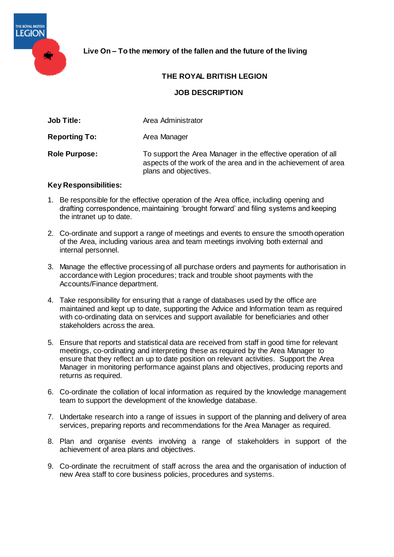

# **Live On – To the memory of the fallen and the future of the living**

## **THE ROYAL BRITISH LEGION**

### **JOB DESCRIPTION**

| Area Administrator |
|--------------------|
|                    |

**Reporting To:** Area Manager

**Role Purpose:** To support the Area Manager in the effective operation of all aspects of the work of the area and in the achievement of area plans and objectives.

#### **Key Responsibilities:**

- 1. Be responsible for the effective operation of the Area office, including opening and drafting correspondence, maintaining 'brought forward' and filing systems and keeping the intranet up to date.
- 2. Co-ordinate and support a range of meetings and events to ensure the smooth operation of the Area, including various area and team meetings involving both external and internal personnel.
- 3. Manage the effective processing of all purchase orders and payments for authorisation in accordance with Legion procedures; track and trouble shoot payments with the Accounts/Finance department.
- 4. Take responsibility for ensuring that a range of databases used by the office are maintained and kept up to date, supporting the Advice and Information team as required with co-ordinating data on services and support available for beneficiaries and other stakeholders across the area.
- 5. Ensure that reports and statistical data are received from staff in good time for relevant meetings, co-ordinating and interpreting these as required by the Area Manager to ensure that they reflect an up to date position on relevant activities. Support the Area Manager in monitoring performance against plans and objectives, producing reports and returns as required.
- 6. Co-ordinate the collation of local information as required by the knowledge management team to support the development of the knowledge database.
- 7. Undertake research into a range of issues in support of the planning and delivery of area services, preparing reports and recommendations for the Area Manager as required.
- 8. Plan and organise events involving a range of stakeholders in support of the achievement of area plans and objectives.
- 9. Co-ordinate the recruitment of staff across the area and the organisation of induction of new Area staff to core business policies, procedures and systems.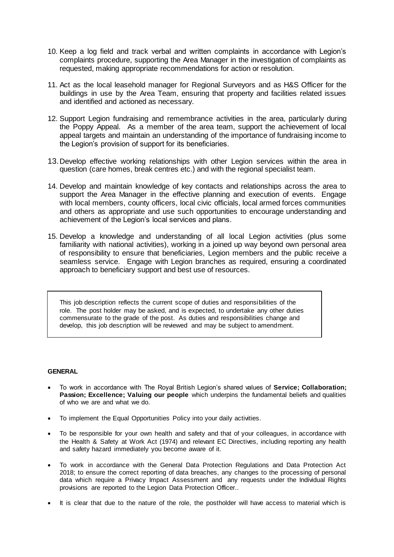- 10. Keep a log field and track verbal and written complaints in accordance with Legion's complaints procedure, supporting the Area Manager in the investigation of complaints as requested, making appropriate recommendations for action or resolution.
- 11. Act as the local leasehold manager for Regional Surveyors and as H&S Officer for the buildings in use by the Area Team, ensuring that property and facilities related issues and identified and actioned as necessary.
- 12. Support Legion fundraising and remembrance activities in the area, particularly during the Poppy Appeal. As a member of the area team, support the achievement of local appeal targets and maintain an understanding of the importance of fundraising income to the Legion's provision of support for its beneficiaries.
- 13.Develop effective working relationships with other Legion services within the area in question (care homes, break centres etc.) and with the regional specialist team.
- 14. Develop and maintain knowledge of key contacts and relationships across the area to support the Area Manager in the effective planning and execution of events. Engage with local members, county officers, local civic officials, local armed forces communities and others as appropriate and use such opportunities to encourage understanding and achievement of the Legion's local services and plans.
- 15. Develop a knowledge and understanding of all local Legion activities (plus some familiarity with national activities), working in a joined up way beyond own personal area of responsibility to ensure that beneficiaries, Legion members and the public receive a seamless service. Engage with Legion branches as required, ensuring a coordinated approach to beneficiary support and best use of resources.

This job description reflects the current scope of duties and responsibilities of the role. The post holder may be asked, and is expected, to undertake any other duties commensurate to the grade of the post. As duties and responsibilities change and develop, this job description will be reviewed and may be subject to amendment.

#### **GENERAL**

- To work in accordance with The Royal British Legion's shared values of **Service; Collaboration; Passion; Excellence; Valuing our people** which underpins the fundamental beliefs and qualities of who we are and what we do.
- To implement the Equal Opportunities Policy into your daily activities.
- To be responsible for your own health and safety and that of your colleagues, in accordance with the Health & Safety at Work Act (1974) and relevant EC Directives, including reporting any health and safety hazard immediately you become aware of it.
- To work in accordance with the General Data Protection Regulations and Data Protection Act 2018; to ensure the correct reporting of data breaches, any changes to the processing of personal data which require a Privacy Impact Assessment and any requests under the Individual Rights provisions are reported to the Legion Data Protection Officer..
- It is clear that due to the nature of the role, the postholder will have access to material which is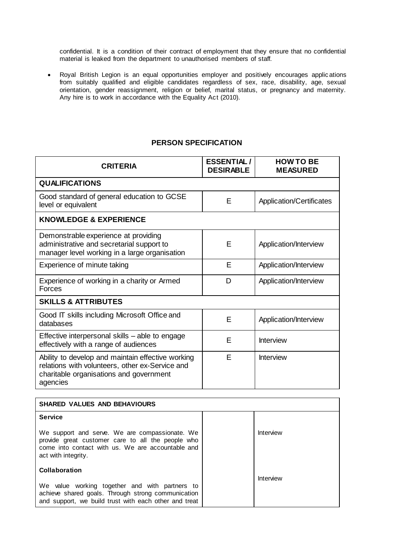confidential. It is a condition of their contract of employment that they ensure that no confidential material is leaked from the department to unauthorised members of staff.

 Royal British Legion is an equal opportunities employer and positively encourages applic ations from suitably qualified and eligible candidates regardless of sex, race, disability, age, sexual orientation, gender reassignment, religion or belief, marital status, or pregnancy and maternity. Any hire is to work in accordance with the Equality Act (2010).

### **PERSON SPECIFICATION**

| <b>CRITERIA</b>                                                                                                                                             | <b>ESSENTIAL/</b><br><b>DESIRABLE</b> | <b>HOW TO BE</b><br><b>MEASURED</b> |
|-------------------------------------------------------------------------------------------------------------------------------------------------------------|---------------------------------------|-------------------------------------|
| <b>QUALIFICATIONS</b>                                                                                                                                       |                                       |                                     |
| Good standard of general education to GCSE<br>level or equivalent                                                                                           | E                                     | Application/Certificates            |
| <b>KNOWLEDGE &amp; EXPERIENCE</b>                                                                                                                           |                                       |                                     |
| Demonstrable experience at providing<br>administrative and secretarial support to<br>manager level working in a large organisation                          | Е                                     | Application/Interview               |
| Experience of minute taking                                                                                                                                 | Е                                     | Application/Interview               |
| Experience of working in a charity or Armed<br>Forces                                                                                                       | D                                     | Application/Interview               |
| <b>SKILLS &amp; ATTRIBUTES</b>                                                                                                                              |                                       |                                     |
| Good IT skills including Microsoft Office and<br>databases                                                                                                  | E                                     | Application/Interview               |
| Effective interpersonal skills - able to engage<br>effectively with a range of audiences                                                                    | E                                     | <b>Interview</b>                    |
| Ability to develop and maintain effective working<br>relations with volunteers, other ex-Service and<br>charitable organisations and government<br>agencies | E                                     | <b>Interview</b>                    |

| <b>SHARED VALUES AND BEHAVIOURS</b>                                                                                                                                             |           |
|---------------------------------------------------------------------------------------------------------------------------------------------------------------------------------|-----------|
| <b>Service</b>                                                                                                                                                                  |           |
| We support and serve. We are compassionate. We<br>provide great customer care to all the people who<br>come into contact with us. We are accountable and<br>act with integrity. | Interview |
| Collaboration                                                                                                                                                                   |           |
| We value working together and with partners to<br>achieve shared goals. Through strong communication                                                                            | Interview |
| and support, we build trust with each other and treat                                                                                                                           |           |